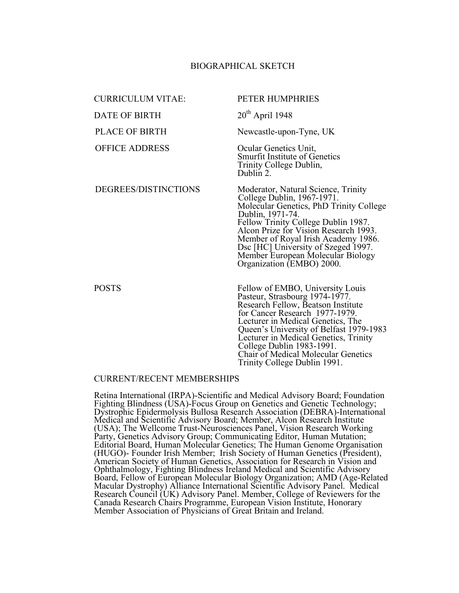## BIOGRAPHICAL SKETCH

| <b>CURRICULUM VITAE:</b> | PETER HUMPHRIES                                                                                                                                                                                                                                                                                                                                                                |
|--------------------------|--------------------------------------------------------------------------------------------------------------------------------------------------------------------------------------------------------------------------------------------------------------------------------------------------------------------------------------------------------------------------------|
| <b>DATE OF BIRTH</b>     | $20th$ April 1948                                                                                                                                                                                                                                                                                                                                                              |
| <b>PLACE OF BIRTH</b>    | Newcastle-upon-Tyne, UK                                                                                                                                                                                                                                                                                                                                                        |
| <b>OFFICE ADDRESS</b>    | Ocular Genetics Unit,<br><b>Smurfit Institute of Genetics</b><br>Trinity College Dublin,<br>Dublin 2.                                                                                                                                                                                                                                                                          |
| DEGREES/DISTINCTIONS     | Moderator, Natural Science, Trinity<br>College Dublin, 1967-1971.<br>Molecular Genetics, PhD Trinity College<br>Dublin, 1971-74.<br>Fellow Trinity College Dublin 1987.<br>Alcon Prize for Vision Research 1993.<br>Member of Royal Irish Academy 1986.<br>Dsc [HC] University of Szeged 1997.<br>Member European Molecular Biology<br>Organization (EMBO) 2000.               |
| <b>POSTS</b>             | Fellow of EMBO, University Louis<br>Pasteur, Strasbourg 1974-1977.<br>Research Fellow, Beatson Institute<br>for Cancer Research 1977-1979.<br>Lecturer in Medical Genetics, The<br>Queen's University of Belfast 1979-1983<br>Lecturer in Medical Genetics, Trinity<br>College Dublin 1983-1991.<br><b>Chair of Medical Molecular Genetics</b><br>Trinity College Dublin 1991. |

## CURRENT/RECENT MEMBERSHIPS

Retina International (IRPA)-Scientific and Medical Advisory Board; Foundation Fighting Blindness (USA)-Focus Group on Genetics and Genetic Technology; Dystrophic Epidermolysis Bullosa Research Association (DEBRA)-International Medical and Scientific Advisory Board; Member, Alcon Research Institute (USA); The Wellcome Trust-Neurosciences Panel, Vision Research Working Party, Genetics Advisory Group; Communicating Editor, Human Mutation; Editorial Board, Human Molecular Genetics; The Human Genome Organisation (HUGO)- Founder Irish Member; Irish Society of Human Genetics (President), American Society of Human Genetics, Association for Research in Vision and Ophthalmology, Fighting Blindness Ireland Medical and Scientific Advisory Board, Fellow of European Molecular Biology Organization; AMD (Age-Related Macular Dystrophy) Alliance International Scientific Advisory Panel. Medical Research Council (UK) Advisory Panel. Member, College of Reviewers for the Canada Research Chairs Programme, European Vision Institute, Honorary Member Association of Physicians of Great Britain and Ireland.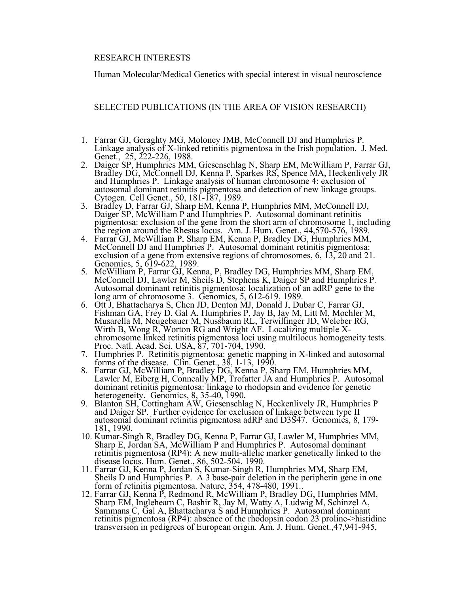## RESEARCH INTERESTS

Human Molecular/Medical Genetics with special interest in visual neuroscience

SELECTED PUBLICATIONS (IN THE AREA OF VISION RESEARCH)

- 1. Farrar GJ, Geraghty MG, Moloney JMB, McConnell DJ and Humphries P. Linkage analysis of X-linked retinitis pigmentosa in the Irish population. J. Med.
- 2. Daiger SP, Humphries MM, Giesenschlag N, Sharp EM, McWilliam P, Farrar GJ, Bradley DG, McConnell DJ, Kenna P, Sparkes RS, Spence MA, Heckenlively JR and Humphries P. Linkage analysis of human chromosome 4: exclusion of autosomal dominant retinitis pigmentosa and detection of new linkage groups.
- Cytogen. Cell Genet., 50, 181-187, 1989.<br>3. Bradley D, Farrar GJ, Sharp EM, Kenna P, Humphries MM, McConnell DJ, Daiger SP, McWilliam P and Humphries P. Autosomal dominant retinitis pigmentosa: exclusion of the gene from the short arm of chromosome 1, including the region around the Rhesus locus. Am. J. Hum. Genet., 44,570-576, 1989.
- 4. Farrar GJ, McWilliam P, Sharp EM, Kenna P, Bradley DG, Humphries MM,<br>McConnell DJ and Humphries P. Autosomal dominant retinitis pigmentosa:<br>exclusion of a gene from extensive regions of chromosomes, 6, 13, 20 and 21. expresses of a generator of a generator of a generator of chromosomes, 5, 619-622, 1989.<br>
5. McWilliam P, Farrar GJ, Kenna, P, Bradley DG, Humphries MM, Sharp EM,
- McConnell DJ, Lawler M, Sheils D, Stephens K, Daiger SP and Humphries P. Autosomal dominant retinitis pigmentosa: localization of an adRP gene to the long arm of chromosome 3. Genomics, 5, 612-619, 1989.
- 6. Ott J, Bhattacharya S, Chen JD, Denton MJ, Donald J, Dubar C, Farrar GJ, Fishman GA, Frey D, Gal A, Humphries P, Jay B, Jay M, Litt M, Mochler M, Musarella M, Neugebauer M, Nussbaum RL, Terwillinger JD, Weleber RG, Wirt
- forms of the disease. Clin. Genet., 38, 1-13, 1990.
- 8. Farrar GJ, McWilliam P, Bradley DG, Kenna P, Sharp EM, Humphries MM, Lawler M, Eiberg H, Conneally MP, Trofatter JA and Humphries P. Autosomal dominant retinitis pigmentosa: linkage to rhodopsin and evidence for genetic
- heterogeneity. Genomics, 8, 35-40, 1990.<br>9. Blanton SH, Cottingham AW, Giesenschlag N, Heckenlively JR, Humphries P and Daiger SP. Further evidence for exclusion of linkage between type II autosomal dominant retinitis pigmentosa adRP and D3S47. Genomics, 8, 179-
- 181, 1990.<br>10. Kumar-Singh R, Bradley DG, Kenna P, Farrar GJ, Lawler M, Humphries MM, Sharp E, Jordan SA, McWilliam P and Humphries P. Autosomal dominant retinitis pigmentosa (RP4): A new multi-allelic marker genetically linked to the
- disease locus. Hum. Genet., 86, 502-504. 1990.<br>11. Farrar GJ, Kenna P, Jordan S, Kumar-Singh R, Humphries MM, Sharp EM,
- Sheils D and Humphries P. A 3 base-pair deletion in the peripherin gene in one<br>form of retinitis pigmentosa. Nature, 354, 478-480, 1991.<br>12. Farrar GJ, Kenna P, Redmond R, McWilliam P, Bradley DG, Humphries MM,<br>Sharp EM, I retinitis pigmentosa (RP4): absence of the rhodopsin codon 23 proline->histidine transversion in pedigrees of European origin. Am. J. Hum. Genet.,47,941-945,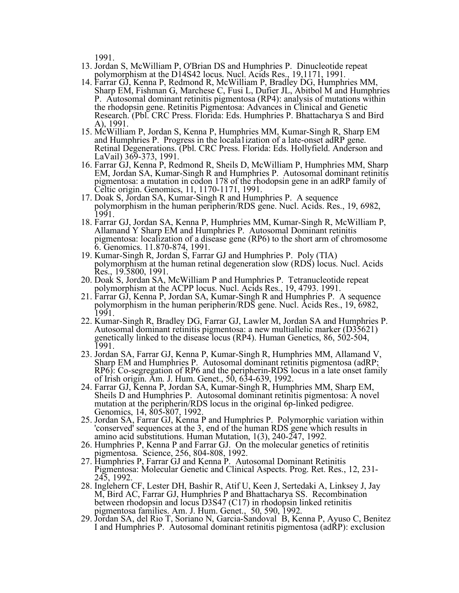1991.

- 13. Jordan S, McWilliam P, O'Brian DS and Humphries P. Dinucleotide repeat
- 14. Farrar GJ, Kenna P, Redmond R, McWilliam P, Bradley DG, Humphries MM, Sharp EM, Fishman G, Marchese C, Fusi L, Dufier JL, Abitbol M and Humphries P. Autosomal dominant retinitis pigmentosa (RP4): analysis of mutations within the rhodopsin gene. Retinitis Pigmentosa: Advances in Clinical and Genetic Research. (Pbl. CRC Press. Florida: Eds. Humphries P. Bhattacharya S and Bird A), 1991.
- 15. McWilliam P, Jordan S, Kenna P, Humphries MM, Kumar-Singh R, Sharp EM and Humphries P. Progress in the locala1ization of a late-onset adRP gene. Retinal Degenerations. (Pbl. CRC Press. Florida: Eds. Hollyfield. Anderson and LaVail) 369-373, 1991.
- 16. Farrar GJ, Kenna P, Redmond R, Sheils D, McWilliam P, Humphries MM, Sharp EM, Jordan SA, Kumar-Singh R and Humphries P. Autosomal dominant retinitis pigmentosa: a mutation in codon 178 of the rhodopsin gene in an adRP family of Celtic origin. Genomics, 11, 1170-1171, 1991.
- 17. Doak S, Jordan SA, Kumar-Singh R and Humphries P. A sequence polymorphism in the human peripherin/RDS gene. Nucl. Acids. Res., 19, 6982, 1991.
- 18. Farrar GJ, Jordan SA, Kenna P, Humphries MM, Kumar-Singh R, McWilliam P, Allamand Y Sharp EM and Humphries P. Autosomal Dominant retinitis pigmentosa: localization of a disease gene (RP6) to the short arm of chromosome 6. Genomics. 11.870-874, 1991.
- 19. Kumar-Singh R, Jordan S, Farrar GJ and Humphries P. Poly (TIA) polymorphism at the human retinal degeneration slow (RDS) locus. Nucl. Acids Res., 19.5800, 1991. Res., 19.5800, 1991. 20. Doak S, Jordan SA, McWilliam <sup>P</sup> and Humphries P. Tetranucleotide repeat
- polymorphism at the ACPP locus. Nucl. Acids Res., 19, 4793. 1991.
- 21. Farrar GJ, Kenna P, Jordan SA, Kumar-Singh R and Humphries P. A sequence polymorphism in the human peripherin/RDS gene. Nucl. Acids Res., 19, 6982, 1991.
- 22. Kumar-Singh R, Bradley DG, Farrar GJ, Lawler M, Jordan SA and Humphries P. Autosomal dominant retinitis pigmentosa: <sup>a</sup> new multiallelic marker (D35621) genetically linked to the disease locus (RP4). Human Genetics, 86, 502-504, 1991.
- 23. Jordan SA, Farrar GJ, Kenna P, Kumar-Singh R, Humphries MM, Allamand V, Sharp EM and Humphries P. Autosomal dominant retinitis pigmentosa (adRP; RP6): Co-segregation of RP6 and the peripherin-RDS locus in a late onset family of Irish origin. Am. J. Hum. Genet., 50, 634-639, 1992.
- 24. Farrar GJ, Kenna P, Jordan SA, Kumar-Singh R, Humphries MM, Sharp EM, Sheils D and Humphries P. Autosomal dominant retinitis pigmentosa: A novel Sheils D and Humphries P. Autosomal dominant retinitis pigmentosa: A novel mutation at the peripherin/RDS locus in the original 6p-linked pedigree.<br>Genomics, 14, 805-807, 1992.
- 25. Jordan SA, Farrar GJ, Kenna P and Humphries P. Polymorphic variation within 'conserved' sequences at the 3, end of the human RDS gene which results in
- 26. Humphries P, Kenna P and Farrar GJ. On the molecular genetics of retinitis pigmentosa. Science, 256, 804-808, 1992.
- 27. Humphries P, Farrar GJ and Kenna P. Autosomal Dominant Retinitis Pigmentosa: Molecular Genetic and Clinical Aspects. Prog. Ret. Res., 12, 231-245, 1992.<br>28. Inglehern CF, Lester DH, Bashir R, Atif U, Keen J, Sertedaki A, Linksey J, Jay
- M, Bird AC, Farrar GJ, Humphries P and Bhattacharya SS. Recombination between rhodopsin and locus D3S47 (C17) in rhodopsin linked retinitis pigmentosa families. Am. J. Hum. Genet., 50, 590, 1992. 29. Jordan SA, del Rio T, Soriano N, Garcia-Sandoval B, Kenna P, Ayuso C, Benitez
- I and Humphries P. Autosomal dominant retinitis pigmentosa (adRP): exclusion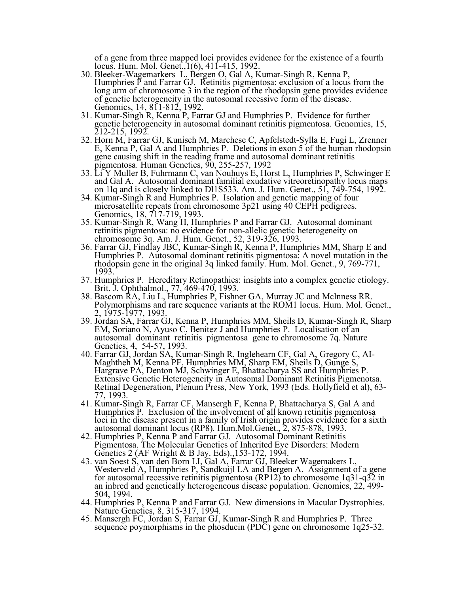of a gene from three mapped loci provides evidence for the existence of a fourth locus. Hum. Mol. Genet., 1(6), 411-415, 1992.<br>30. Bleeker-Wagemarkers L, Bergen O, Gal A, Kumar-Singh R, Kenna P,

- 30. Bleeker-Wagemarkers L, Bergen O, Gal A, Kumar-Singh R, Kenna P, Humphries <sup>P</sup> and Farrar GJ. Retinitis pigmentosa: exclusion of <sup>a</sup> locus from the long arm of chromosome 3 in the region of the rhodopsin gene provides evidence of genetic heterogeneity in the autosomal recessive form of the disease. Genomics, 14, 811-812, 1992.
- 31. Kumar-Singh R, Kenna P, Farrar GJ and Humphries P. Evidence for further genetic heterogeneity in autosomal dominant retinitis pigmentosa. Genomics, 15, 212-215, 1992.<br>32. Horn M, Farrar GJ, Kunisch M, Marchese C, Apfelstedt-Sylla E, Fugi L, Zrenner
- E, Kenna P, Gal A and Humphries P. Deletions in exon 5 of the human rhodopsin gene causing shift in the reading frame and autosomal dominant retinitis pigmentosa. Human Genetics, 90, 255-257, 1992
- 33. Li Y Muller B, Fuhrmann C, van Nouhuys E, Horst L, Humphries P, Schwinger E and Gal A. Autosomal dominant familial exudative vitreoretinopathy locus maps on 1lq and is closely linked to Dl1S533. Am. J. Hum. Genet., 51, 749-754, 1992.
- 34. Kumar-Singh R and Humphries P. Isolation and genetic mapping of four microsatellite repeats from chromosome 3p21 using 40 CEPH pedigrees. Genomics, 18, 717-719, 1993.
- 35. Kumar-Singh R, Wang H, Humphries P and Farrar GJ. Autosomal dominant retinitis pigmentosa: no evidence for non-allelic genetic heterogeneity on chromosome 3q. Am. J. Hum. Genet., 52, 319-326, 1993.
- 36. Farrar GJ, Findlay JBC, Kumar-Singh R, Kenna P, Humphries MM, Sharp E and Humphries P. Autosomal dominant retinitis pigmentosa: A novel mutation in the rhodopsin gene in the original 3q linked family. Hum. Mol. Genet., 9, 769-771, 1993.
- 37. Humphries P. Hereditary Retinopathies: insights into a complex genetic etiology. Brit. J. Ophthalmol., 77, 469-470, 1993.
- 38. Bascom RA, Liu L, Humphries P, Fishner GA, Murray JC and Mclnness RR.<br>Polymorphisms and rare sequence variants at the ROM1 locus. Hum. Mol. Genet.,<br>2, 1975-1977, 1993.<br>39. Jordan SA, Farrar GJ, Kenna P, Humphries MM, S
- EM, Soriano N, Ayuso C, Benitez J and Humphries P. Localisation of an autosomal dominant retinitis pigmentosa gene to chromosome 7q. Nature
- 40. Farrar GJ, Jordan SA, Kumar-Singh R, Inglehearn CF, Gal A, Gregory C, AI-Maghtheh M, Kenna PF, Humphries MM, Sharp EM, Sheils D, Gunge S, Hargrave PA, Denton MJ, Schwinger E, Bhattacharya SS and Humphries P.<br>Extensive
- Humphries P. Exclusion of the involvement of all known retinitis pigmentosa loci in the disease present in a family of Irish origin provides evidence for a sixth autosomal dominant locus (RP8). Hum.Mol.Genet., 2, 875-878, 1993. 42. Humphries P, Kenna <sup>P</sup> and Farrar GJ. Autosomal Dominant Retinitis
- Pigmentosa. The Molecular Genetics of Inherited Eye Disorders: Modern Genetics 2 (AF Wright & B Jay. Eds).,153*-*172, 1994.
- 43. van Soest S, van den Born LI, Gal A, Farrar GJ, Bleeker Wagemakers L, Westerveld A, Humphries P, Sandkuijl LA and Bergen A. Assignment of <sup>a</sup> gene for autosomal recessive retinitis pigmentosa (RP12) to chromosome 1q31-q32 in an inbred and genetically heterogeneous disease population. Genomics, 22, 499-
- 504, 1994.<br>44. Humphries P, Kenna P and Farrar GJ. New dimensions in Macular Dystrophies.<br>Nature Genetics, 8, 315-317, 1994.
- 45. Mansergh FC, Jordan S, Farrar GJ, Kumar-Singh R and Humphries P. Three sequence poymorphisms in the phosducin (PDC) gene on chromosome 1q25-32.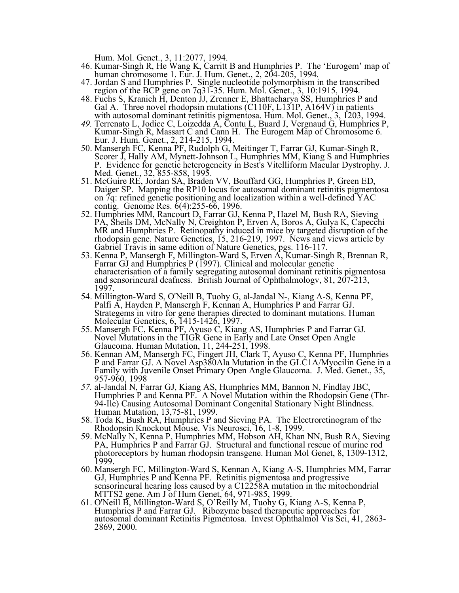Hum. Mol. Genet., 3, 11:2077, 1994.

- 46. Kumar-Singh R, He Wang K, Carritt B and Humphries P. The 'Eurogem' map of human chromosome 1. Eur. J. Hum. Genet., 2, 204-205, 1994. human chromosome 1. Eur. J. Hum. Genet., 2, 204-205, 1994.<br>47. Jordan S and Humphries P. Single nucleotide polymorphism in the transcribed
- region of the BCP gene on 7q31-35. Hum. Mol. Genet., 3, 10:1915, 1994. 48. Fuchs S, Kranich H, Denton JJ, Zrenner E, Bhattacharya SS, Humphries <sup>P</sup> and
- Gal A. Three novel rhodopsin mutations (C110F, L131P, A164V) in patients with autosomal dominant retinitis pigmentosa. Hum. Mol. Genet., 3, 1203, 1994.
- *49.* Terrenato L, Jodice C, Loizedda A, Contu L, Buard J, Vergnaud G, Humphries P, Kumar-Singh R, Massart <sup>C</sup> and Cann H. The Eurogem Map of Chromosome 6. Eur. J. Hum. Genet., 2, 214-215, 1994.
- 50. Mansergh FC, Kenna PF, Rudolph G, Meitinger T, Farrar GJ, Kumar-Singh R, Scorer J, Hally AM, Mynett-Johnson L, Humphries MM, Kiang S and Humphries P. Evidence for genetic heterogeneity in Best's Vitelliform Macular Dys P. Evidence for genetic heterogeneity in Best's Vitelliform Macular Dystrophy. J. Med. Genet., 32, 855-858, 1995.
- 51. McGuire RE, Jordan SA, Braden VV, Bouffard GG, Humphries P, Green ED, Daiger SP. Mapping the RP10 locus for autosomal dominant retinitis pigmentosa on 7q: refined genetic positioning and localization within a well-defined YAC contig. Genome Res. 6(4):255-66, 1996.
- 52. Humphries MM, Rancourt D, Farrar GJ, Kenna P, Hazel M, Bush RA, Sieving PA, Sheils DM, McNally N, Creighton P, Erven A, Boros A, Gulya K, Capecchi MR and Humphries P. Retinopathy induced in mice by targeted disruption of the rhodopsin gene. Nature Genetics, 15, 216-219, 1997. News and views article by Gabriel Travis in same edition of Nature Genetics, pgs. 116-117.
- 53. Kenna P, Mansergh F, Millington-Ward S, Erven A, Kumar-Singh R, Brennan R, Farrar GJ and Humphries <sup>P</sup> (1997). Clinical and molecular genetic characterisation of a family segregating autosomal dominant retinitis pigmentosa and sensorineural deafness. British Journal of Ophthalmologv, 81, 207-213, 1997.<br>54. Millington-Ward S, O'Neill B, Tuohy G, al-Jandal N-, Kiang A-S, Kenna PF,
- 54. Millington-Ward S, O'Neill B, Tuohy G, al-Jandal N-, Kiang A-S, Kenna PF, Palfi A, Hayden P, Mansergh F, Kennan A, Humphries <sup>P</sup> and Farrar GJ. Strategems in vitro for gene therapies directed to dominant mutations. Human Molecular Genetics, 6, 1415-1426, 1997.
- 55. Mansergh FC, Kenna PF, Ayuso C, Kiang AS, Humphries P and Farrar GJ.<br>Novel Mutations in the TIGR Gene in Early and Late Onset Open Angle<br>Glaucoma. Human Mutation, 11, 244-251, 1998.
- 56. Kennan AM, Mansergh FC, Fingert JH, Clark T, Ayuso C, Kenna PF, Humphries P and Farrar GJ. A Novel Asp380Ala Mutation in the GLC1A/Myocilin Gene in a Family with Juvenile Onset Primary Open Angle Glaucoma. J. Med. Genet., 35, 957-960, 1998<br>57. al-Jandal N, Farrar GJ, Kiang AS, Humphries MM, Bannon N, Findlay JBC,
- Humphries P and Kenna PF. A Novel Mutation within the Rhodopsin Gene (Thr-<br>94-Ile) Causing Autosomal Dominant Congenital Stationary Night Blindness.<br>Human Mutation, 13,75-81, 1999.
- 58. Toda K, Bush RA, Humphries P and Sieving PA. The Electroretinogram of the
- 59. McNally N, Kenna P, Humphries MM, Hobson AH, Khan NN, Bush RA, Sieving PA, Humphries P and Farrar GJ. Structural and functional rescue of murine rod photoreceptors by human rhodopsin transgene. Human Mol Genet, 8, 1309-1312, 1999.
- 60. Mansergh FC, Millington-Ward S, Kennan A, Kiang A-S, Humphries MM, Farrar GJ, Humphries P and Kenna PF. Retinitis pigmentosa and progressive sensorineural hearing loss caused by a C12258A mutation in the mitochondrial MTTS2 gene. Am J of Hum Genet, 64, 971-985, 1999.
- 61. O'Neill B, Millington-Ward S, O'Reilly M, Tuohy G, Kiang A-S, Kenna P, Humphries <sup>P</sup> and Farrar GJ. Ribozyme based therapeutic approaches for autosomal dominant Retinitis Pigmentosa. Invest Ophthalmol Vis Sci, 41, 2863- 2869, 2000.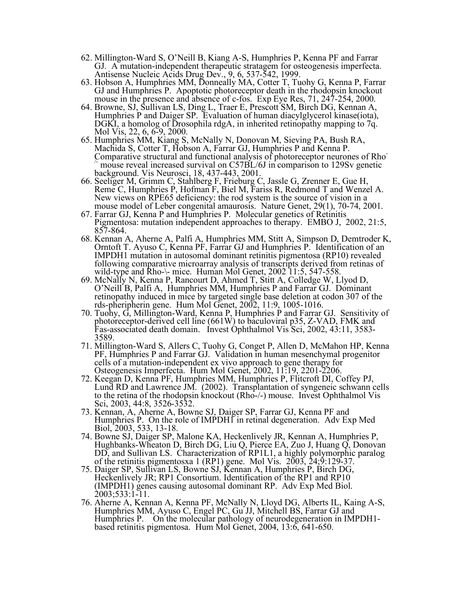- 62. Millington-Ward S, O'Neill B, Kiang A-S, Humphries P, Kenna PF and Farrar GJ. <sup>A</sup> mutation-independent therapeutic stratagem for osteogenesis imperfecta. Antisense Nucleic Acids Drug Dev., 9, 6, 537-542, 1999.
- 63. Hobson A, Humphries MM, Donneally MA, Cotter T, Tuohy G, Kenna P, Farrar GJ and Humphries P. Apoptotic photoreceptor death in the rhodopsin knockout
- mouse in the presence and absence of c-fos. Exp Eye Res, 71, 247-254, 2000.<br>64. Browne, SJ, Sullivan LS, Ding L, Traer E, Prescott SM, Birch DG, Kennan A, Humphries P and Daiger SP. Evaluation of human diacylglycerol kinas
- Mol Vis, 22, 6, 6-9, 2000.<br>65. Humphries MM, Kiang S, McNally N, Donovan M, Sieving PA, Bush RA,<br>Machida S, Cotter T, Hobson A, Farrar GJ, Humphries P and Kenna P.<br>Comparative structural and functional analysis of photorec /- mouse reveal increased survival on C57BL/6J in comparison to 129Sv genetic
- background. Vis Neurosci, 18, 437-443, 2001.<br>66. Seeliger M, Grimm C, Stahlberg F, Frieburg C, Jassle G, Zrenner E, Gue H,<br>Reme C, Humphries P, Hofman F, Biel M, Fariss R, Redmond T and Wenzel A.<br>New views on RPE65 deficie New views on RPE65 deficiency: the rod system is the source of vision in a mouse model of Leber congenital amaurosis. Nature Genet, 29(1), 70-74, 2001. 67. Farrar GJ, Kenna P and Humphries P. Molecular genetics of Retiniti
- Pigmentosa: mutation independent approaches to therapy. EMBO J, 2002, 21:5, 857-864.
- 68. Kennan A, Aherne A, Palfi A, Humphries MM, Stitt A, Simpson D, Demtroder K, Orntoft T. Ayuso C, Kenna PF, Farrar GJ and Humphries P. Identification of an IMPDH1 mutation in autosomal dominant retinitis pigmentosa (RP10) revealed following comparative microarray analysis of transcripts derived from retinas of wild-type and Rho- $\backslash$ - mice. Human Mol Genet, 2002 11:5, 547-558.
- 69. McNally N, Kenna P, Rancourt D, Ahmed T, Stitt A, Colledge W, Llyod D, O'Neill B, Palfi A, Humphries MM, Humphries P and Farrar GJ. Dominant retinopathy induced in mice by targeted single base deletion at codon 307 of the rds-pheripherin gene. Hum Mol Genet, 2002, 11:9, 1005-1016. rds-pheripherin gene. Hum Mol Genet, 2002, 11:9, 1005-1016. 70. Tuohy, G, Millington-Ward, Kenna P, Humphries <sup>P</sup> and Farrar GJ. Sensitivity of
- photoreceptor-derived cell line (661W) to baculoviral p35, Z-VAD, FMK and Fas-associated death domain. Invest Ophthalmol Vis Sci, 2002, 43:11, 3583- 3589.
- 71. Millington-Ward S, Allers C, Tuohy G, Conget P, Allen D, McMahon HP, Kenna PF, Humphries P and Farrar GJ. Validation in human mesenchymal progenitor cells of a mutation-independent ex vivo approach to gene therapy for Osteogenesis Imperfecta. Hum Mol Genet, 2002, 11:19, 2201-2206.
- 72. Keegan D, Kenna PF, Humphries MM, Humphries P, Flitcroft DI, Coffey PJ, Lund RD and Lawrence JM. (2002). Transplantation of syngeneic schwann cells to the retina of the rhodopsin knockout (Rho-/-) mouse. Invest Ophthalmol Vis Sci, 2003, 44:8, 3526-3532.
- 73. Kennan, A, Aherne A, Bowne SJ, Daiger SP, Farrar GJ, Kenna PF and Humphries P. On the role of IMPDHI in retinal degeneration. Adv Exp Med Biol, 2003, 533, 13-18.
- 74. Bowne SJ, Daiger SP, Malone KA, Heckenlively JR, Kennan A, Humphries P, Hughbanks-Wheaton D, Birch DG, Liu Q, Pierce EA, Zuo J, Huang Q, Donovan DD, and Sullivan LS. Characterization of RP1L1, a highly polymorphic paralog of the retinitis pigmentosxa 1 (RP1) gene. Mol Vis. 2003, 24;9:129-37.
- 75. Daiger SP, Sullivan LS, Bowne SJ, Kennan A, Humphries P, Birch DG, Heckenlively JR; RP1 Consortium. Identification of the RP1 and RP10 (IMPDH1) genes causing autosomal dominant RP. Adv Exp Med Biol. 2003;533:1-11.
- 76. Aherne A, Kennan A, Kenna PF, McNally N, Lloyd DG, Alberts IL, Kaing A-S, Humphries MM, Ayuso C, Engel PC, Gu JJ, Mitchell BS, Farrar GJ and Humphries P. On the molecular pathology of neurodegeneration in IMPDH1- based retinitis pigmentosa. Hum Mol Genet, 2004, 13:6, 641-650.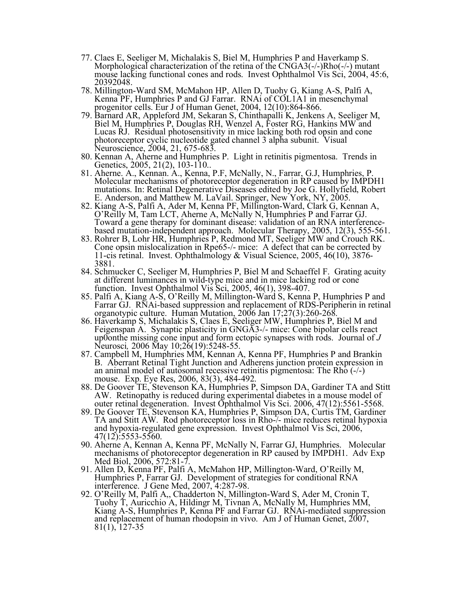- 77. Claes E, Seeliger M, Michalakis S, Biel M, Humphries <sup>P</sup> and Haverkamp S. Morphological characterization of the retina of the CNGA3(-/-)Rho(-/-) mutant mouse lacking functional cones and rods. Invest Ophthalmol Vis Sci, 2004, 45:6, 20392048.
- 78. Millington-Ward SM, McMahon HP, Allen D, Tuohy G, Kiang A-S, Palfi A, Kenna PF, Humphries <sup>P</sup> and GJ Farrar. RNAi of COL1A1 in mesenchymal progenitor cells. Eur J of Human Genet, 2004, 12(10):864-866.
- 79. Barnard AR, Appleford JM, Sekaran S, Chinthapalli K, Jenkens A, Seeliger M, Biel M, Humphries P, Douglas RH, Wenzel A, Foster RG, Hankins MW and Lucas RJ. Residual photosensitivity in mice lacking both rod opsin and cone photoreceptor cyclic nucleotide gated channel 3 alpha subunit. Visual
- 80. Kennan A, Aherne and Humphries P. Light in retinitis pigmentosa. Trends in Genetics, 2005, 21(2), 103-110.
- Genetics, 2005, 21(2), 103-110..<br>81. Aherne. A., Kennan. A., Kenna, P.F, McNally, N., Farrar, G.J, Humphries, P.<br>Molecular mechanisms of photoreceptor degeneration in RP caused by IMPDH1 mutations. In: Retinal Degenerative Diseases edited by Joe G. Hollyfield, Robert
- E. Anderson, and Matthew M. LaVail. Springer, New York, NY, 2005.<br>82. Kiang A-S, Palfi A, Ader M, Kenna PF, Millington-Ward, Clark G, Kennan A, O'Reilly M, Tam LCT, Aherne A, McNally N, Humphries P and Farrar GJ.<br>Toward a
- 83. Rohrer B, Lohr HR, Humphries P, Redmond MT, Seeliger MW and Crouch RK. Cone opsin mislocalization in Rpe65-/- mice: <sup>A</sup> defect that can be corrected by 11-cis retinal. Invest. Ophthalmology & Visual Science, 2005, 46(10), 3876- 3881.
- 84. Schmucker C, Seeliger M, Humphries P, Biel M and Schaeffel F. Grating acuity at different luminances in wild-type mice and in mice lacking rod or cone function. Invest Ophthalmol Vis Sci, 2005, 46(1), 398-407.
- 85. Palfi A, Kiang A-S, O'Reilly M, Millington-Ward S, Kenna P, Humphries P and Farrar GJ. RNAi-based suppression and replacement of RDS-Peripherin in retinal organotypic culture. Human Mutation, <sup>2006</sup> Jan 17;27(3):260-268. 86. Haverkamp S, Michalakis S, Claes E, Seeliger MW, Humphries P, Biel <sup>M</sup> and
- Feigenspan A. Synaptic plasticity in GNGA3-/- mice: Cone bipolar cells react up0onthe missing cone input and form ectopic synapses with rods. Journal of *J* Neurosci, 2006 May 10;26(19):5248-55.
- 87. Campbell M, Humphries MM, Kennan A, Kenna PF, Humphries P and Brankin B. Aberrant Retinal Tight Junction and Adherens junction protein expression in an animal model of autosomal recessive retinitis pigmentosa: The Rho (-/-)
- mouse. Exp. Eye Res, 2006, 83(3), 484-492.<br>88. De Goover TE, Stevenson KA, Humphries P, Simpson DA, Gardiner TA and Stitt AW. Retinopathy is reduced during experimental diabetes in a mouse model of outer retinal degeneration. Invest Ophthalmol Vis Sci. 2006, 47(12):5561-5568.
- 89. De Goover TE, Stevenson KA, Humphries P, Simpson DA, Curtis TM, Gardiner TA and Stitt AW. Rod photoreceptor loss in Rho-/- mice reduces retinal hypoxia and hypoxia-regulated gene expression. Invest Ophthalmol Vis Sci, 2006,
- 90. Aherne A, Kennan A, Kenna PF, McNally N, Farrar GJ, Humphries. Molecular mechanisms of photoreceptor degeneration in RP caused by IMPDH1. Adv Exp<br>Med Biol, 2006, 572:81-7.
- Med Biol, 2006, 572:81-7.<br>91. Allen D, Kenna PF, Palfi A, McMahon HP, Millington-Ward, O'Reilly M, Humphries P, Farrar GJ. Development of strategies for conditional RNA interference. J Gene Med, 2007, 4:287-98.
- 92. O'Reilly M, Palfi A,, Chadderton N, Millington-Ward S, Ader M, Cronin T,<br>Tuohy T, Auricchio A, Hildingr M, Tivnan A, McNally M, Humphries MM,<br>Kiang A-S, Humphries P, Kenna PF and Farrar GJ. RNAi-mediated suppression and replacement of human rhodopsin in vivo. Am J of Human Genet, 2007, 81(1), 127-35